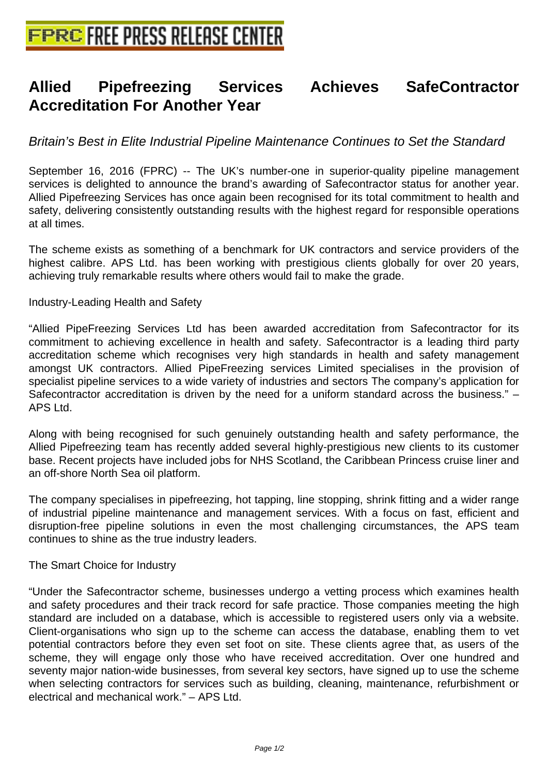# **[Allied Pipefreezing Services](http://www.free-press-release-center.info) Achieves SafeContractor Accreditation For Another Year**

# Britain's Best in Elite Industrial Pipeline Maintenance Continues to Set the Standard

September 16, 2016 (FPRC) -- The UK's number-one in superior-quality pipeline management services is delighted to announce the brand's awarding of Safecontractor status for another year. Allied Pipefreezing Services has once again been recognised for its total commitment to health and safety, delivering consistently outstanding results with the highest regard for responsible operations at all times.

The scheme exists as something of a benchmark for UK contractors and service providers of the highest calibre. APS Ltd. has been working with prestigious clients globally for over 20 years, achieving truly remarkable results where others would fail to make the grade.

## Industry-Leading Health and Safety

"Allied PipeFreezing Services Ltd has been awarded accreditation from Safecontractor for its commitment to achieving excellence in health and safety. Safecontractor is a leading third party accreditation scheme which recognises very high standards in health and safety management amongst UK contractors. Allied PipeFreezing services Limited specialises in the provision of specialist pipeline services to a wide variety of industries and sectors The company's application for Safecontractor accreditation is driven by the need for a uniform standard across the business." – APS Ltd.

Along with being recognised for such genuinely outstanding health and safety performance, the Allied Pipefreezing team has recently added several highly-prestigious new clients to its customer base. Recent projects have included jobs for NHS Scotland, the Caribbean Princess cruise liner and an off-shore North Sea oil platform.

The company specialises in pipefreezing, hot tapping, line stopping, shrink fitting and a wider range of industrial pipeline maintenance and management services. With a focus on fast, efficient and disruption-free pipeline solutions in even the most challenging circumstances, the APS team continues to shine as the true industry leaders.

### The Smart Choice for Industry

"Under the Safecontractor scheme, businesses undergo a vetting process which examines health and safety procedures and their track record for safe practice. Those companies meeting the high standard are included on a database, which is accessible to registered users only via a website. Client-organisations who sign up to the scheme can access the database, enabling them to vet potential contractors before they even set foot on site. These clients agree that, as users of the scheme, they will engage only those who have received accreditation. Over one hundred and seventy major nation-wide businesses, from several key sectors, have signed up to use the scheme when selecting contractors for services such as building, cleaning, maintenance, refurbishment or electrical and mechanical work." – APS Ltd.